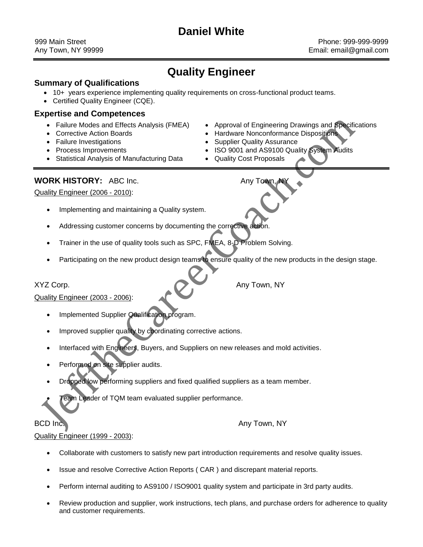# **Daniel White**

999 Main Street Phone: 999-999-9999 Any Town, NY 99999 **Any Town, NY 99999** Email: email@gmail.com

# **Quality Engineer**

## **Summary of Qualifications**

- 10+ years experience implementing quality requirements on cross-functional product teams.
- Certified Quality Engineer (CQE).

## **Expertise and Competences**

- 
- 
- 
- 
- Statistical Analysis of Manufacturing Data Quality Cost Proposals
- Failure Modes and Effects Analysis (FMEA) Approval of Engineering Drawings and Specifications
- Corrective Action Boards **Manual Action Hardware Nonconformance Dispositions**
- Failure Investigations **Supplier Quality Assurance Supplier Quality Assurance Supplier**
- Process Improvements **Internal 2000 ISO 9001 and AS9100 Quality System Audits** 
	-

# **WORK HISTORY:** ABC Inc. **Any Town, NY** Any Town, NY

Quality Engineer (2006 - 2010):

- Implementing and maintaining a Quality system.
- Addressing customer concerns by documenting the corrective action.
- Trainer in the use of quality tools such as SPC, FMEA, 8-D Problem Solving.
- Participating on the new product design teams to ensure quality of the new products in the design stage.

XYZ Corp. **Any Town, NY** 

Quality Engineer (2003 - 2006):

- Implemented Supplier Qualification program.
- Improved supplier quality by coordinating corrective actions.
- Interfaced with Engineers, Buyers, and Suppliers on new releases and mold activities.
- Performed on site supplier audits.
- Dropped low performing suppliers and fixed qualified suppliers as a team member.
- Team Leader of TQM team evaluated supplier performance.

### BCD Inc. **Any Town, NY**

Quality Engineer (1999 - 2003):

- Collaborate with customers to satisfy new part introduction requirements and resolve quality issues.
- Issue and resolve Corrective Action Reports ( CAR ) and discrepant material reports.
- Perform internal auditing to AS9100 / ISO9001 quality system and participate in 3rd party audits.
- Review production and supplier, work instructions, tech plans, and purchase orders for adherence to quality and customer requirements.